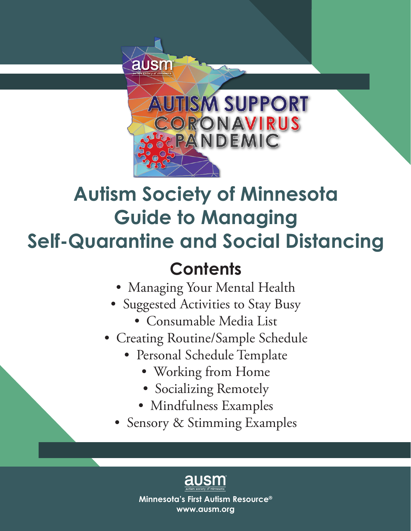

# **Autism Society of Minnesota Guide to Managing Self-Quarantine and Social Distancing**

# **Contents**

- Managing Your Mental Health
- Suggested Activities to Stay Busy
	- Consumable Media List
- Creating Routine/Sample Schedule
	- Personal Schedule Template
		- Working from Home
		- Socializing Remotely
		- Mindfulness Examples
	- Sensory & Stimming Examples

**Minnesota's First Autism Resource® www.ausm.org**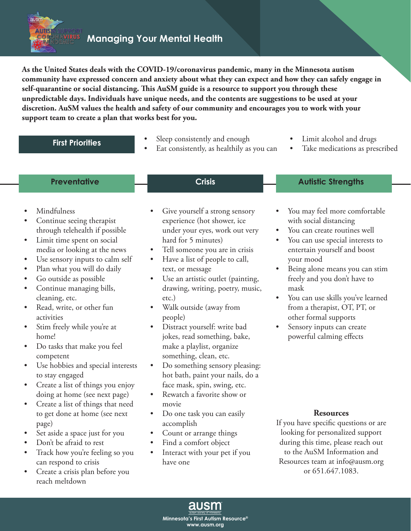**Managing Your Mental Health**

**As the United States deals with the COVID-19/coronavirus pandemic, many in the Minnesota autism community have expressed concern and anxiety about what they can expect and how they can safely engage in self-quarantine or social distancing. This AuSM guide is a resource to support you through these unpredictable days. Individuals have unique needs, and the contents are suggestions to be used at your discretion. AuSM values the health and safety of our community and encourages you to work with your support team to create a plan that works best for you.**

| <b>First Priorities</b> |
|-------------------------|
|                         |

**RUS** 

- Sleep consistently and enough
- Eat consistently, as healthily as you can
- Limit alcohol and drugs
- Take medications as prescribed

### **Preventative Autistic Strengths Crisis Autistic Strengths**

• Mindfulness

ausm **AUTIS** 

- Continue seeing therapist through telehealth if possible
- Limit time spent on social media or looking at the news
- Use sensory inputs to calm self
- Plan what you will do daily
- Go outside as possible
- Continue managing bills, cleaning, etc.
- Read, write, or other fun activities
- Stim freely while you're at home!
- Do tasks that make you feel competent
- Use hobbies and special interests to stay engaged
- Create a list of things you enjoy doing at home (see next page)
- Create a list of things that need to get done at home (see next page)
- Set aside a space just for you
- Don't be afraid to rest
- Track how you're feeling so you can respond to crisis
- Create a crisis plan before you reach meltdown
- Give yourself a strong sensory experience (hot shower, ice under your eyes, work out very hard for 5 minutes)
- Tell someone you are in crisis
- Have a list of people to call, text, or message
- Use an artistic outlet (painting, drawing, writing, poetry, music, etc.)
- Walk outside (away from people)
- Distract yourself: write bad jokes, read something, bake, make a playlist, organize something, clean, etc.
- Do something sensory pleasing: hot bath, paint your nails, do a face mask, spin, swing, etc.
- Rewatch a favorite show or movie
- Do one task you can easily accomplish
- Count or arrange things
- Find a comfort object
- Interact with your pet if you have one

### You may feel more comfortable with social distancing

- You can create routines well
- You can use special interests to entertain yourself and boost your mood
- Being alone means you can stim freely and you don't have to mask
- You can use skills you've learned from a therapist, OT, PT, or other formal supports
- Sensory inputs can create powerful calming effects

### **Resources**

If you have specific questions or are looking for personalized support during this time, please reach out to the AuSM Information and Resources team at info@ausm.org or 651.647.1083.

**Minnesota's First Autism Resource® www.ausm.org**

ausm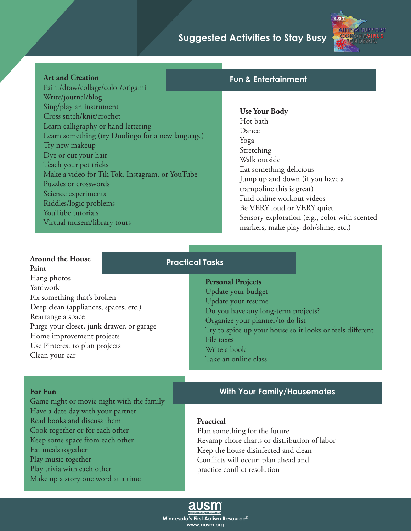### **Suggested Activities to Stay Busy**



### **Art and Creation**

Paint/draw/collage/color/origami Write/journal/blog Sing/play an instrument Cross stitch/knit/crochet Learn calligraphy or hand lettering Learn something (try Duolingo for a new language) Try new makeup Dye or cut your hair Teach your pet tricks Make a video for Tik Tok, Instagram, or YouTube Puzzles or crosswords Science experiments Riddles/logic problems YouTube tutorials Virtual musem/library tours

### **Fun & Entertainment**

**Use Your Body** Hot bath Dance Yoga Stretching Walk outside Eat something delicious Jump up and down (if you have a trampoline this is great) Find online workout videos Be VERY loud or VERY quiet Sensory exploration (e.g., color with scented markers, make play-doh/slime, etc.)

### **Around the House**

**For Fun**

Eat meals together Play music together

Play trivia with each other

Paint Hang photos Yardwork Fix something that's broken Deep clean (appliances, spaces, etc.) Rearrange a space Purge your closet, junk drawer, or garage Home improvement projects Use Pinterest to plan projects Clean your car

Game night or movie night with the family

Have a date day with your partner Read books and discuss them Cook together or for each other Keep some space from each other

Make up a story one word at a time

### **Practical Tasks**

**Personal Projects** Update your budget Update your resume Do you have any long-term projects? Organize your planner/to do list Try to spice up your house so it looks or feels different File taxes Write a book Take an online class

### **With Your Family/Housemates**

#### **Practical**

Plan something for the future Revamp chore charts or distribution of labor Keep the house disinfected and clean Conflicts will occur: plan ahead and practice conflict resolution

### ausm

**Minnesota's First Autism Resource® www.ausm.org**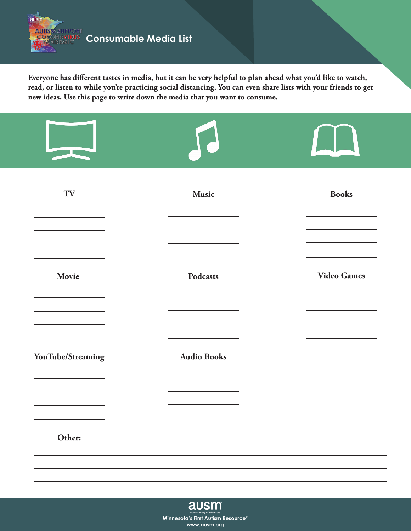

ausm

**AUTIS** P.

**Everyone has different tastes in media, but it can be very helpful to plan ahead what you'd like to watch, read, or listen to while you're practicing social distancing. You can even share lists with your friends to get new ideas. Use this page to write down the media that you want to consume.**

| TV                | Music              | <b>Books</b>       |
|-------------------|--------------------|--------------------|
| Movie             | Podcasts           | <b>Video Games</b> |
|                   |                    |                    |
| YouTube/Streaming | <b>Audio Books</b> |                    |
| Other:            |                    |                    |

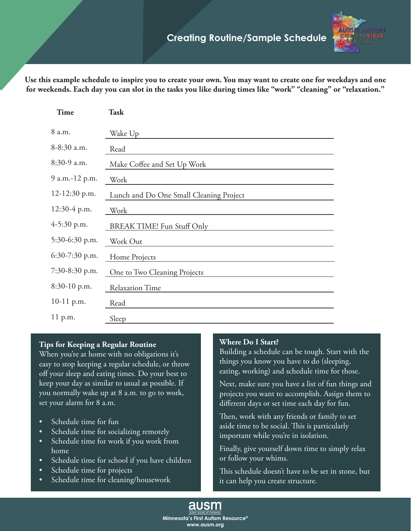

**Use this example schedule to inspire you to create your own. You may want to create one for weekdays and one for weekends. Each day you can slot in the tasks you like during times like "work" "cleaning" or "relaxation."**

| <b>Time</b>      | <b>Task</b>                             |
|------------------|-----------------------------------------|
| 8 a.m.           | Wake Up                                 |
| 8-8:30 a.m.      | Read                                    |
| 8:30-9 a.m.      | Make Coffee and Set Up Work             |
| 9 a.m.-12 p.m.   | Work                                    |
| 12-12:30 p.m.    | Lunch and Do One Small Cleaning Project |
| 12:30-4 p.m.     | Work                                    |
| 4-5:30 p.m.      | <b>BREAK TIME! Fun Stuff Only</b>       |
| 5:30-6:30 p.m.   | Work Out                                |
| $6:30-7:30$ p.m. | Home Projects                           |
| 7:30-8:30 p.m.   | One to Two Cleaning Projects            |
| 8:30-10 p.m.     | <b>Relaxation Time</b>                  |
| $10-11$ p.m.     | Read                                    |
| 11 p.m.          | Sleep                                   |

### **Tips for Keeping a Regular Routine**

When you're at home with no obligations it's easy to stop keeping a regular schedule, or throw off your sleep and eating times. Do your best to keep your day as similar to usual as possible. If you normally wake up at 8 a.m. to go to work, set your alarm for 8 a.m.

- Schedule time for fun
- Schedule time for socializing remotely
- Schedule time for work if you work from home
- Schedule time for school if you have children
- Schedule time for projects
- Schedule time for cleaning/housework

### **Where Do I Start?**

Building a schedule can be tough. Start with the things you know you have to do (sleeping, eating, working) and schedule time for those.

Next, make sure you have a list of fun things and projects you want to accomplish. Assign them to different days or set time each day for fun.

Then, work with any friends or family to set aside time to be social. This is particularly important while you're in isolation.

Finally, give yourself down time to simply relax or follow your whims.

This schedule doesn't have to be set in stone, but it can help you create structure.

ausm **Minnesota's First Autism Resource® www.ausm.org**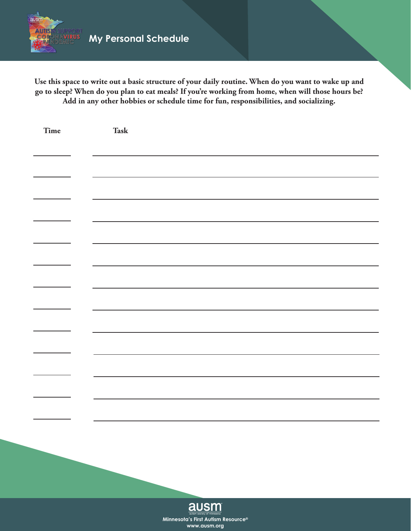

**Use this space to write out a basic structure of your daily routine. When do you want to wake up and go to sleep? When do you plan to eat meals? If you're working from home, when will those hours be? Add in any other hobbies or schedule time for fun, responsibilities, and socializing.**

| Time | Task                                                            |
|------|-----------------------------------------------------------------|
|      |                                                                 |
|      |                                                                 |
|      |                                                                 |
|      |                                                                 |
|      |                                                                 |
|      |                                                                 |
|      |                                                                 |
|      |                                                                 |
|      |                                                                 |
|      |                                                                 |
|      |                                                                 |
|      |                                                                 |
|      |                                                                 |
|      |                                                                 |
|      |                                                                 |
|      |                                                                 |
|      |                                                                 |
|      |                                                                 |
|      |                                                                 |
|      |                                                                 |
|      | ausm society of minnesota<br>Minnesota's First Autism Resource® |

**www.ausm.org**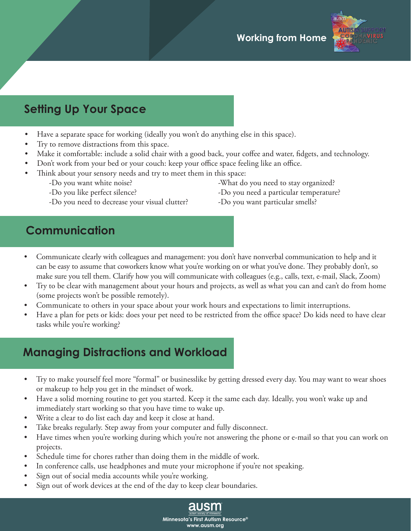

# **Setting Up Your Space**

- Have a separate space for working (ideally you won't do anything else in this space).
- Try to remove distractions from this space.
- Make it comfortable: include a solid chair with a good back, your coffee and water, fidgets, and technology.
- Don't work from your bed or your couch: keep your office space feeling like an office.
- Think about your sensory needs and try to meet them in this space:
	-
	-
	- -Do you need to decrease your visual clutter? -Do you want particular smells?
	- -Do you want white noise?  $-$ What do you need to stay organized?
	- -Do you like perfect silence?  $\sim$  -Do you need a particular temperature?
		-

# **Communication**

- Communicate clearly with colleagues and management: you don't have nonverbal communication to help and it can be easy to assume that coworkers know what you're working on or what you've done. They probably don't, so make sure you tell them. Clarify how you will communicate with colleagues (e.g., calls, text, e-mail, Slack, Zoom)
- Try to be clear with management about your hours and projects, as well as what you can and can't do from home (some projects won't be possible remotely).
- Communicate to others in your space about your work hours and expectations to limit interruptions.
- Have a plan for pets or kids: does your pet need to be restricted from the office space? Do kids need to have clear tasks while you're working?

# **Managing Distractions and Workload**

- Try to make yourself feel more "formal" or businesslike by getting dressed every day. You may want to wear shoes or makeup to help you get in the mindset of work.
- Have a solid morning routine to get you started. Keep it the same each day. Ideally, you won't wake up and immediately start working so that you have time to wake up.
- Write a clear to do list each day and keep it close at hand.
- Take breaks regularly. Step away from your computer and fully disconnect.
- Have times when you're working during which you're not answering the phone or e-mail so that you can work on projects.
- Schedule time for chores rather than doing them in the middle of work.
- In conference calls, use headphones and mute your microphone if you're not speaking.
- Sign out of social media accounts while you're working.
- Sign out of work devices at the end of the day to keep clear boundaries.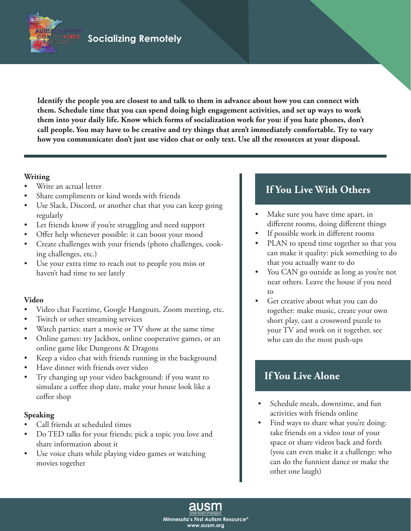**Identify the people you are closest to and talk to them in advance about how you can connect with them. Schedule time that you can spend doing high engagement activities, and set up ways to work them into your daily life. Know which forms of socialization work for you: if you hate phones, don't call people. You may have to be creative and try things that aren't immediately comfortable. Try to vary how you communicate: don't just use video chat or only text. Use all the resources at your disposal.**

### **Writing**

ausm **AUTIS** 

- Write an actual letter
- Share compliments or kind words with friends
- Use Slack, Discord, or another chat that you can keep going regularly
- Let friends know if you're struggling and need support
- Offer help whenever possible: it can boost your mood
- Create challenges with your friends (photo challenges, cooking challenges, etc.)
- Use your extra time to reach out to people you miss or haven't had time to see lately

### **Video**

- Video chat Facetime, Google Hangouts, Zoom meeting, etc.
- Twitch or other streaming services
- Watch parties: start a movie or TV show at the same time
- Online games: try Jackbox, online cooperative games, or an online game like Dungeons & Dragons
- Keep a video chat with friends running in the background
- Have dinner with friends over video
- Try changing up your video background: if you want to simulate a coffee shop date, make your house look like a coffee shop • Schedule meals, downtime, and fun

### **Speaking**

- Call friends at scheduled times
- Do TED talks for your friends; pick a topic you love and share information about it
- Use voice chats while playing video games or watching movies together

## **If You Live With Others**

- Make sure you have time apart, in different rooms, doing different things
- If possible work in different rooms
- PLAN to spend time together so that you can make it quality: pick something to do that you actually want to do
- You CAN go outside as long as you're not near others. Leave the house if you need to
- Get creative about what you can do together: make music, create your own short play, cast a crossword puzzle to your TV and work on it together, see who can do the most push-ups

## **If You Live Alone**

- activities with friends online
- Find ways to share what you're doing: take friends on a video tour of your space or share videos back and forth (you can even make it a challenge: who can do the funniest dance or make the other one laugh)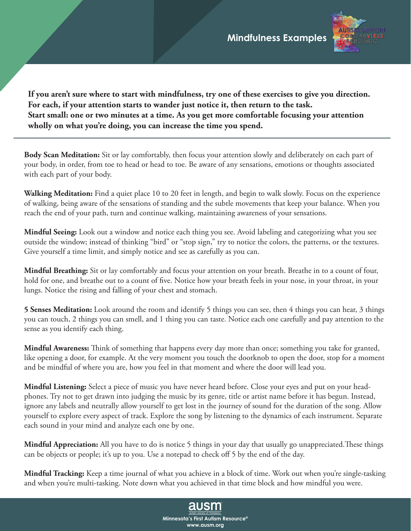

**If you aren't sure where to start with mindfulness, try one of these exercises to give you direction. For each, if your attention starts to wander just notice it, then return to the task. Start small: one or two minutes at a time. As you get more comfortable focusing your attention wholly on what you're doing, you can increase the time you spend.**

**Body Scan Meditation:** Sit or lay comfortably, then focus your attention slowly and deliberately on each part of your body, in order, from toe to head or head to toe. Be aware of any sensations, emotions or thoughts associated with each part of your body.

**Walking Meditation:** Find a quiet place 10 to 20 feet in length, and begin to walk slowly. Focus on the experience of walking, being aware of the sensations of standing and the subtle movements that keep your balance. When you reach the end of your path, turn and continue walking, maintaining awareness of your sensations.

**Mindful Seeing:** Look out a window and notice each thing you see. Avoid labeling and categorizing what you see outside the window; instead of thinking "bird" or "stop sign," try to notice the colors, the patterns, or the textures. Give yourself a time limit, and simply notice and see as carefully as you can.

**Mindful Breathing:** Sit or lay comfortably and focus your attention on your breath. Breathe in to a count of four, hold for one, and breathe out to a count of five. Notice how your breath feels in your nose, in your throat, in your lungs. Notice the rising and falling of your chest and stomach.

**5 Senses Meditation:** Look around the room and identify 5 things you can see, then 4 things you can hear, 3 things you can touch, 2 things you can smell, and 1 thing you can taste. Notice each one carefully and pay attention to the sense as you identify each thing.

**Mindful Awareness:** Think of something that happens every day more than once; something you take for granted, like opening a door, for example. At the very moment you touch the doorknob to open the door, stop for a moment and be mindful of where you are, how you feel in that moment and where the door will lead you.

**Mindful Listening:** Select a piece of music you have never heard before. Close your eyes and put on your headphones. Try not to get drawn into judging the music by its genre, title or artist name before it has begun. Instead, ignore any labels and neutrally allow yourself to get lost in the journey of sound for the duration of the song. Allow yourself to explore every aspect of track. Explore the song by listening to the dynamics of each instrument. Separate each sound in your mind and analyze each one by one.

**Mindful Appreciation:** All you have to do is notice 5 things in your day that usually go unappreciated.These things can be objects or people; it's up to you. Use a notepad to check off 5 by the end of the day.

**Mindful Tracking:** Keep a time journal of what you achieve in a block of time. Work out when you're single-tasking and when you're multi-tasking. Note down what you achieved in that time block and how mindful you were.

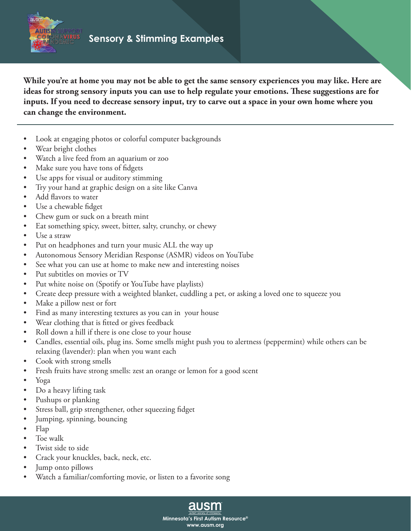

**While you're at home you may not be able to get the same sensory experiences you may like. Here are ideas for strong sensory inputs you can use to help regulate your emotions. These suggestions are for inputs. If you need to decrease sensory input, try to carve out a space in your own home where you can change the environment.**

- Look at engaging photos or colorful computer backgrounds
- Wear bright clothes
- Watch a live feed from an aquarium or zoo
- Make sure you have tons of fidgets
- Use apps for visual or auditory stimming
- Try your hand at graphic design on a site like Canva
- Add flavors to water
- Use a chewable fidget
- Chew gum or suck on a breath mint
- Eat something spicy, sweet, bitter, salty, crunchy, or chewy
- Use a straw
- Put on headphones and turn your music ALL the way up
- Autonomous Sensory Meridian Response (ASMR) videos on YouTube
- See what you can use at home to make new and interesting noises
- Put subtitles on movies or TV
- Put white noise on (Spotify or YouTube have playlists)
- Create deep pressure with a weighted blanket, cuddling a pet, or asking a loved one to squeeze you
- Make a pillow nest or fort
- Find as many interesting textures as you can in your house
- Wear clothing that is fitted or gives feedback
- Roll down a hill if there is one close to your house
- Candles, essential oils, plug ins. Some smells might push you to alertness (peppermint) while others can be relaxing (lavender): plan when you want each

**Minnesota's First Autism Resource® www.ausm.org**

ausm

- Cook with strong smells
- Fresh fruits have strong smells: zest an orange or lemon for a good scent
- Yoga
- Do a heavy lifting task
- Pushups or planking
- Stress ball, grip strengthener, other squeezing fidget
- Jumping, spinning, bouncing
- Flap
- Toe walk
- Twist side to side
- Crack your knuckles, back, neck, etc.
- Jump onto pillows
- Watch a familiar/comforting movie, or listen to a favorite song